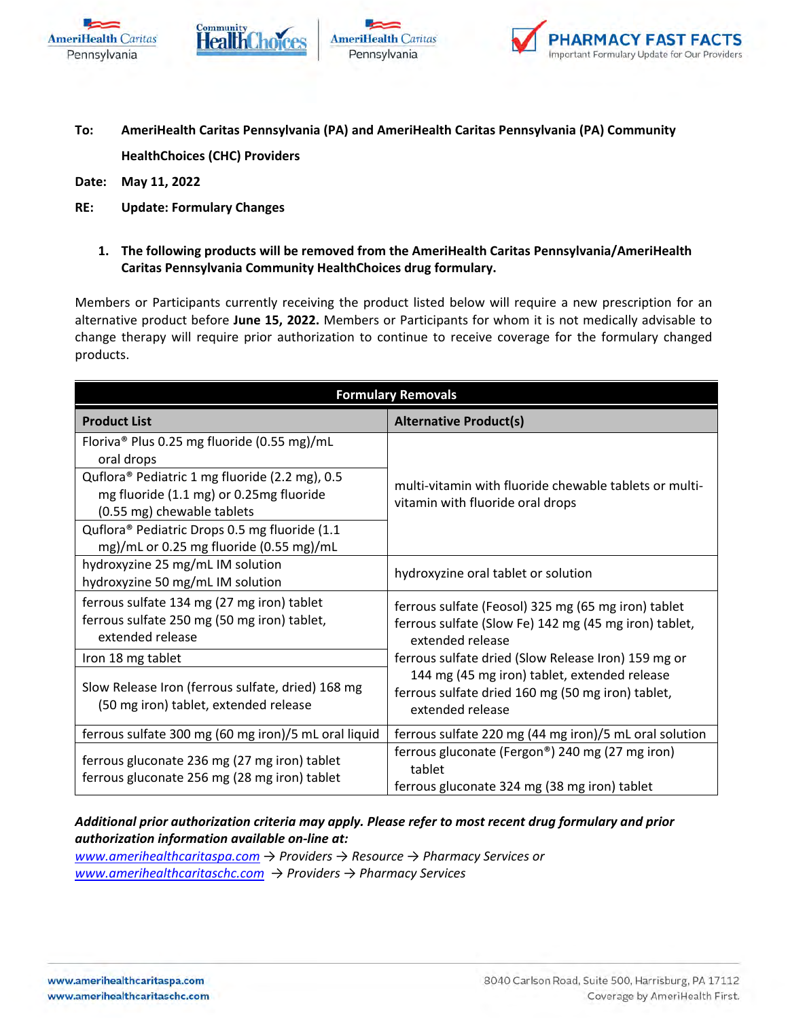







- **To: AmeriHealth Caritas Pennsylvania (PA) and AmeriHealth Caritas Pennsylvania (PA) Community HealthChoices (CHC) Providers**
- **Date: May 11, 2022**
- **RE: Update: Formulary Changes**
	- **1. The following products will be removed from the AmeriHealth Caritas Pennsylvania/AmeriHealth Caritas Pennsylvania Community HealthChoices drug formulary.**

Members or Participants currently receiving the product listed below will require a new prescription for an alternative product before **June 15, 2022.** Members or Participants for whom it is not medically advisable to change therapy will require prior authorization to continue to receive coverage for the formulary changed products.

| <b>Formulary Removals</b>                                                                                               |                                                                                                                                  |  |
|-------------------------------------------------------------------------------------------------------------------------|----------------------------------------------------------------------------------------------------------------------------------|--|
| <b>Product List</b>                                                                                                     | <b>Alternative Product(s)</b>                                                                                                    |  |
| Floriva® Plus 0.25 mg fluoride (0.55 mg)/mL<br>oral drops                                                               | multi-vitamin with fluoride chewable tablets or multi-<br>vitamin with fluoride oral drops                                       |  |
| Quflora® Pediatric 1 mg fluoride (2.2 mg), 0.5<br>mg fluoride (1.1 mg) or 0.25mg fluoride<br>(0.55 mg) chewable tablets |                                                                                                                                  |  |
| Quflora® Pediatric Drops 0.5 mg fluoride (1.1<br>mg)/mL or 0.25 mg fluoride (0.55 mg)/mL                                |                                                                                                                                  |  |
| hydroxyzine 25 mg/mL IM solution<br>hydroxyzine 50 mg/mL IM solution                                                    | hydroxyzine oral tablet or solution                                                                                              |  |
| ferrous sulfate 134 mg (27 mg iron) tablet<br>ferrous sulfate 250 mg (50 mg iron) tablet,<br>extended release           | ferrous sulfate (Feosol) 325 mg (65 mg iron) tablet<br>ferrous sulfate (Slow Fe) 142 mg (45 mg iron) tablet,<br>extended release |  |
| Iron 18 mg tablet                                                                                                       | ferrous sulfate dried (Slow Release Iron) 159 mg or                                                                              |  |
| Slow Release Iron (ferrous sulfate, dried) 168 mg<br>(50 mg iron) tablet, extended release                              | 144 mg (45 mg iron) tablet, extended release<br>ferrous sulfate dried 160 mg (50 mg iron) tablet,<br>extended release            |  |
| ferrous sulfate 300 mg (60 mg iron)/5 mL oral liquid                                                                    | ferrous sulfate 220 mg (44 mg iron)/5 mL oral solution                                                                           |  |
| ferrous gluconate 236 mg (27 mg iron) tablet<br>ferrous gluconate 256 mg (28 mg iron) tablet                            | ferrous gluconate (Fergon®) 240 mg (27 mg iron)<br>tablet<br>ferrous gluconate 324 mg (38 mg iron) tablet                        |  |

## *Additional prior authorization criteria may apply. Please refer to most recent drug formulary and prior authorization information available on-line at:*

*[www.amerihealthcaritaspa.com](http://www.amerihealthcaritaspa.com/) → Providers → Resource → Pharmacy Services or [www.amerihealthcaritaschc.com](http://www.amerihealthcaritaschc.com/) → Providers → Pharmacy Services*